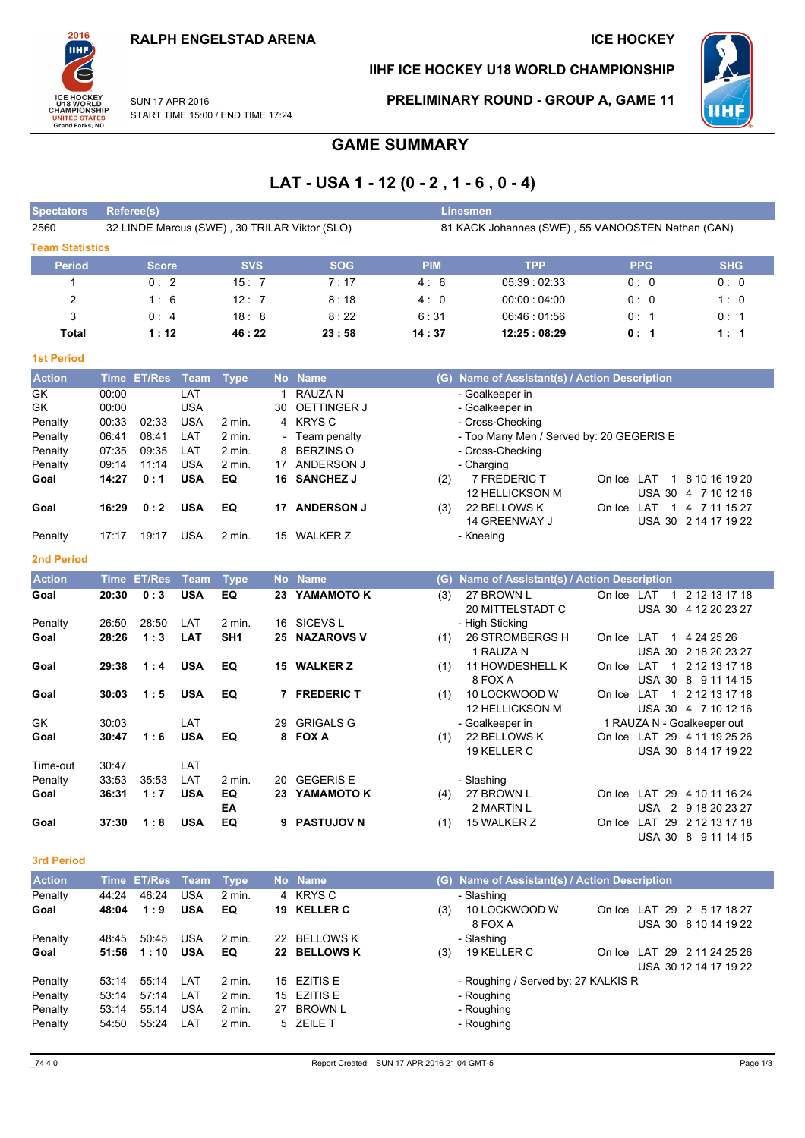

### IIHF ICE HOCKEY U18 WORLD CHAMPIONSHIP

PRELIMINARY ROUND - GROUP A, GAME 11



**SUN 17 APR 2016** START TIME 15:00 / END TIME 17:24

# **GAME SUMMARY**

## LAT - USA 1 - 12 (0 - 2, 1 - 6, 0 - 4)

| <b>Spectators</b>      |       | <b>Referee(s)</b> |             |                 |                          |                                               |            | <b>Linesmen</b>                                   |                             |                                        |
|------------------------|-------|-------------------|-------------|-----------------|--------------------------|-----------------------------------------------|------------|---------------------------------------------------|-----------------------------|----------------------------------------|
| 2560                   |       |                   |             |                 |                          | 32 LINDE Marcus (SWE), 30 TRILAR Viktor (SLO) |            | 81 KACK Johannes (SWE), 55 VANOOSTEN Nathan (CAN) |                             |                                        |
| <b>Team Statistics</b> |       |                   |             |                 |                          |                                               |            |                                                   |                             |                                        |
| <b>Period</b>          |       | <b>Score</b>      |             | <b>SVS</b>      |                          | <b>SOG</b>                                    | <b>PIM</b> | <b>TPP</b>                                        | <b>PPG</b>                  | <b>SHG</b>                             |
| 1                      |       | 0:2               |             | 15:7            |                          | 7:17                                          | 4:6        | 05:39:02:33                                       | 0:0                         | 0:0                                    |
| $\overline{c}$         |       | 1:6               |             | 12:7            |                          | 8:18                                          | 4:0        | 00:00:04:00                                       | 0:0                         | 1:0                                    |
|                        |       |                   |             |                 |                          |                                               |            |                                                   |                             |                                        |
| 3                      |       | 0:4               |             | 18:8            |                          | 8:22                                          | 6:31       | 06:46:01:56                                       | 0:1                         | 0:1                                    |
| <b>Total</b>           |       | 1:12              |             | 46:22           |                          | 23:58                                         | 14:37      | 12:25:08:29                                       | 0: 1                        | 1:1                                    |
| <b>1st Period</b>      |       |                   |             |                 |                          |                                               |            |                                                   |                             |                                        |
| <b>Action</b>          |       | Time ET/Res Team  |             | <b>Type</b>     |                          | No Name                                       |            | (G) Name of Assistant(s) / Action Description     |                             |                                        |
| GK                     | 00:00 |                   | LAT         |                 | $\mathbf{1}$             | <b>RAUZAN</b>                                 |            | - Goalkeeper in                                   |                             |                                        |
| GK                     | 00:00 |                   | <b>USA</b>  |                 | 30                       | <b>OETTINGER J</b>                            |            | - Goalkeeper in                                   |                             |                                        |
| Penalty                | 00:33 | 02:33             | <b>USA</b>  | $2$ min.        | 4                        | <b>KRYS C</b>                                 |            | - Cross-Checking                                  |                             |                                        |
| Penalty                | 06:41 | 08:41             | LAT         | 2 min.          | $\overline{\phantom{a}}$ | Team penalty                                  |            | - Too Many Men / Served by: 20 GEGERIS E          |                             |                                        |
| Penalty                | 07:35 | 09:35             | LAT         | $2$ min.        | 8                        | <b>BERZINS O</b>                              |            | - Cross-Checking                                  |                             |                                        |
| Penalty                | 09:14 | 11:14             | <b>USA</b>  | $2$ min.        | 17                       | ANDERSON J                                    |            | - Charging                                        |                             |                                        |
| Goal                   | 14:27 | 0:1               | <b>USA</b>  | EQ              | 16                       | <b>SANCHEZ J</b>                              | (2)        | 7 FREDERIC T                                      | On Ice LAT                  | 1 8 10 16 19 20                        |
|                        |       |                   |             |                 |                          |                                               |            | <b>12 HELLICKSON M</b>                            |                             | USA 30 4 7 10 12 16                    |
| Goal                   | 16:29 | 0:2               | <b>USA</b>  | EQ              | 17                       | <b>ANDERSON J</b>                             | (3)        | 22 BELLOWS K<br>14 GREENWAY J                     | On Ice LAT                  | 1 4 7 11 15 27<br>USA 30 2 14 17 19 22 |
| Penalty                | 17:17 | 19:17             | <b>USA</b>  | 2 min.          |                          | 15 WALKER Z                                   |            | - Kneeing                                         |                             |                                        |
|                        |       |                   |             |                 |                          |                                               |            |                                                   |                             |                                        |
| <b>2nd Period</b>      |       |                   |             |                 |                          |                                               |            |                                                   |                             |                                        |
| <b>Action</b>          |       | Time ET/Res       | <b>Team</b> | <b>Type</b>     |                          | No Name                                       | (G)        | Name of Assistant(s) / Action Description         |                             |                                        |
| Goal                   | 20:30 | 0:3               | <b>USA</b>  | EQ              | 23                       | YAMAMOTO K                                    | (3)        | 27 BROWN L                                        | On Ice LAT                  | 1 2 12 13 17 18                        |
|                        |       |                   |             |                 |                          |                                               |            | 20 MITTELSTADT C                                  |                             | USA 30 4 12 20 23 27                   |
| Penalty                | 26:50 | 28:50             | LAT         | $2$ min.        |                          | 16 SICEVS L                                   |            | - High Sticking                                   |                             |                                        |
| Goal                   | 28:26 | 1:3               | LAT         | SH <sub>1</sub> | 25                       | <b>NAZAROVS V</b>                             | (1)        | 26 STROMBERGS H<br>1 RAUZA N                      | On Ice LAT                  | 1 4 24 25 26<br>USA 30 2 18 20 23 27   |
| Goal                   | 29:38 | 1:4               | <b>USA</b>  | EQ              |                          | 15 WALKER Z                                   | (1)        | 11 HOWDESHELL K                                   | On Ice LAT                  | 1 2 12 13 17 18                        |
|                        |       |                   |             |                 |                          |                                               |            | 8 FOX A                                           |                             | USA 30 8 9 11 14 15                    |
| Goal                   | 30:03 | 1:5               | <b>USA</b>  | EQ              | 7                        | <b>FREDERIC T</b>                             | (1)        | 10 LOCKWOOD W                                     | On Ice LAT                  | 1 2 12 13 17 18                        |
|                        |       |                   |             |                 |                          |                                               |            | 12 HELLICKSON M                                   |                             | USA 30 4 7 10 12 16                    |
| GK                     | 30:03 |                   | LAT         |                 | 29                       | <b>GRIGALS G</b>                              |            | - Goalkeeper in                                   | 1 RAUZA N - Goalkeeper out  |                                        |
| Goal                   | 30:47 | 1:6               | <b>USA</b>  | EQ              | 8                        | <b>FOX A</b>                                  | (1)        | 22 BELLOWS K                                      | On Ice LAT 29 4 11 19 25 26 |                                        |
|                        |       |                   |             |                 |                          |                                               |            | 19 KELLER C                                       |                             | USA 30 8 14 17 19 22                   |
| Time-out               | 30:47 |                   | LAT         |                 |                          |                                               |            |                                                   |                             |                                        |
| Penalty                | 33:53 | 35:53             | LAT         | $2$ min.        | 20                       | <b>GEGERIS E</b>                              |            | - Slashing                                        |                             |                                        |
| Goal                   | 36:31 | 1:7               | <b>USA</b>  | EQ              |                          | 23 YAMAMOTO K                                 | (4)        | 27 BROWN L                                        | On Ice LAT 29 4 10 11 16 24 |                                        |
|                        |       |                   |             | EA              |                          |                                               |            | 2 MARTIN L                                        |                             | USA 2 9 18 20 23 27                    |
| Goal                   | 37:30 | 1:8               | <b>USA</b>  | EQ              | 9                        | <b>PASTUJOV N</b>                             | (1)        | 15 WALKER Z                                       | On Ice LAT 29 2 12 13 17 18 |                                        |
|                        |       |                   |             |                 |                          |                                               |            |                                                   |                             | USA 30 8 9 11 14 15                    |

#### 3rd Period

| <b>Action</b> |       | Time ET/Res Team |            | <b>Type</b> |    | No Name         | (G) | Name of Assistant(s) / Action Description |        |                                             |  |
|---------------|-------|------------------|------------|-------------|----|-----------------|-----|-------------------------------------------|--------|---------------------------------------------|--|
| Penalty       | 44:24 | 46:24            | <b>USA</b> | 2 min.      |    | 4 KRYSC         |     | - Slashing                                |        |                                             |  |
| Goal          | 48:04 | 1:9              | <b>USA</b> | EQ          | 19 | <b>KELLER C</b> | (3) | 10 LOCKWOOD W<br>8 FOX A                  | On Ice | LAT 29 2 5 17 18 27<br>USA 30 8 10 14 19 22 |  |
| Penalty       | 48:45 | 50:45            | <b>USA</b> | 2 min.      |    | 22 BELLOWS K    |     | - Slashing                                |        |                                             |  |
| Goal          | 51:56 | 1:10             | <b>USA</b> | EQ          |    | 22 BELLOWS K    | (3) | 19 KELLER C                               |        | On Ice LAT 29 2 11 24 25 26                 |  |
|               |       |                  |            |             |    |                 |     |                                           |        | USA 30 12 14 17 19 22                       |  |
| Penalty       | 53:14 | 55:14            | LAT        | 2 min.      |    | 15 EZITIS E     |     | - Roughing / Served by: 27 KALKIS R       |        |                                             |  |
| Penalty       | 53:14 | 57:14            | LAT        | $2$ min.    |    | 15 EZITIS E     |     | - Roughing                                |        |                                             |  |
| Penalty       | 53:14 | 55:14            | <b>USA</b> | 2 min.      |    | 27 BROWN L      |     | - Roughing                                |        |                                             |  |
| Penalty       | 54:50 | 55:24            | LAT        | 2 min.      |    | 5 ZEILE T       |     | - Roughing                                |        |                                             |  |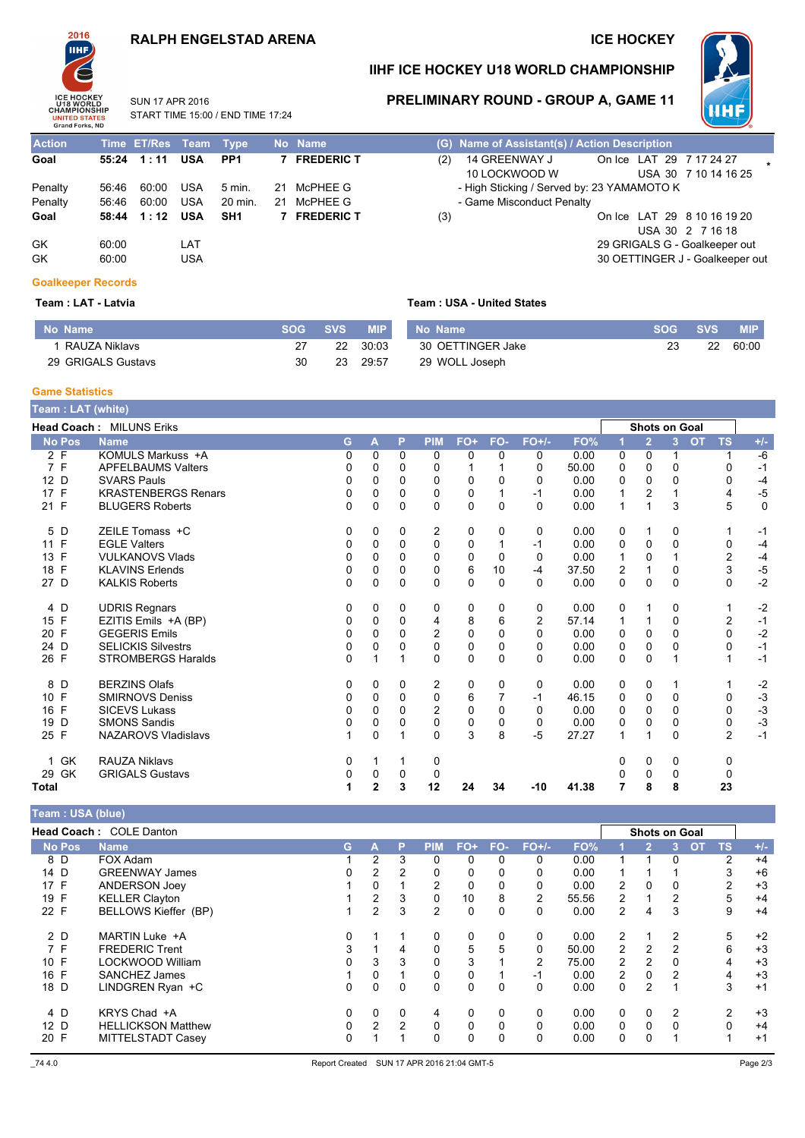### **RALPH ENGELSTAD ARENA**

START TIME 15:00 / END TIME 17:24

SUN 17 APR 2016

### **ICE HOCKEY**



### IIHF ICE HOCKEY U18 WORLD CHAMPIONSHIP



PRELIMINARY ROUND - GROUP A, GAME 11

Action Time ET/Res Team **Type** No Name  $55:24$  1:11 **7 FREDERIC T** Goal **USA**  $PP1$ Penalty  $56.46$   $60.00$ USA  $5 \text{ min}$ 21 McPHFF G Penalty 56:46 60:00 USA 20 min. 21 McPHEE G Goal 58:44 1:12 USA SH<sub>1</sub> 7 FREDERIC T GK  $60.00$ **LAT** GK 60:00 **USA** 

# (G) Name of Assistant(s) / Action Description

| (2) | 14 GREENWAY J                              | On Ice LAT 29 7 17 24 27        |                      |  |  |  |
|-----|--------------------------------------------|---------------------------------|----------------------|--|--|--|
|     | 10 LOCKWOOD W                              |                                 | USA 30 7 10 14 16 25 |  |  |  |
|     | - High Sticking / Served by: 23 YAMAMOTO K |                                 |                      |  |  |  |
|     | - Game Misconduct Penalty                  |                                 |                      |  |  |  |
| (3) |                                            | On Ice LAT 29 8 10 16 19 20     |                      |  |  |  |
|     |                                            |                                 | USA 30 2 7 16 18     |  |  |  |
|     |                                            | 29 GRIGALS G - Goalkeeper out   |                      |  |  |  |
|     |                                            | 30 OETTINGER J - Goalkeeper out |                      |  |  |  |
|     |                                            |                                 |                      |  |  |  |

### **Goalkeeper Records**

Team : LAT - Latvia

| No Name            | <b>SOG</b> | svs' | <b>MIP</b>       |
|--------------------|------------|------|------------------|
| 1 RAUZA Niklavs    | 27         |      | $22 \quad 30.03$ |
| 29 GRIGALS Gustavs | 30         | 23   | 29.57            |

#### **Team: USA - United States**

| No Name           | <b>SOG SVS</b> |    | <b>MIP</b> |
|-------------------|----------------|----|------------|
| 30 OETTINGER Jake | 23             | 22 | 60:00      |
| 29 WOLL Joseph    |                |    |            |

#### **Game Statistics**

| Team : LAT (white) |                            |          |   |          |                |     |              |                |       |          |                |                      |                        |           |
|--------------------|----------------------------|----------|---|----------|----------------|-----|--------------|----------------|-------|----------|----------------|----------------------|------------------------|-----------|
|                    | Head Coach: MILUNS Eriks   |          |   |          |                |     |              |                |       |          |                | <b>Shots on Goal</b> |                        |           |
| <b>No Pos</b>      | <b>Name</b>                | G        | A | P        | <b>PIM</b>     | FO+ | FO-          | $FO+/-$        | FO%   |          | $\overline{2}$ | 3                    | <b>TS</b><br><b>OT</b> | $+/-$     |
| 2 F                | KOMULS Markuss +A          | $\Omega$ | 0 | $\Omega$ | $\Omega$       | 0   | $\mathbf{0}$ | 0              | 0.00  | 0        | $\Omega$       |                      |                        | $-6$      |
| 7 F                | <b>APFELBAUMS Valters</b>  | 0        | 0 | $\Omega$ | 0              |     |              | 0              | 50.00 | 0        | 0              | 0                    | 0                      | $-1$      |
| 12 D               | <b>SVARS Pauls</b>         | 0        | 0 | $\Omega$ | 0              | 0   | $\Omega$     | 0              | 0.00  | 0        | $\Omega$       | $\Omega$             | 0                      | $-4$      |
| 17 F               | <b>KRASTENBERGS Renars</b> | 0        | 0 | $\Omega$ | 0              | 0   |              | $-1$           | 0.00  |          | 2              |                      | 4                      | $-5$      |
| 21 F               | <b>BLUGERS Roberts</b>     | $\Omega$ | 0 | $\Omega$ | $\mathbf 0$    | 0   | $\Omega$     | $\Omega$       | 0.00  |          | 1              | 3                    | 5                      | $\pmb{0}$ |
| 5 D                | ZEILE Tomass +C            | 0        | 0 | 0        | 2              | 0   | 0            | 0              | 0.00  | 0        | 1              | 0                    |                        | -1        |
| 11 F               | <b>EGLE Valters</b>        | 0        | 0 | $\Omega$ | 0              | 0   |              | $-1$           | 0.00  | 0        | 0              | 0                    | 0                      | $-4$      |
| 13 F               | <b>VULKANOVS Vlads</b>     | 0        | 0 | $\Omega$ | 0              | 0   | $\Omega$     | 0              | 0.00  |          | 0              |                      | $\overline{2}$         | $-4$      |
| 18 F               | <b>KLAVINS Erlends</b>     | 0        | 0 | 0        | 0              | 6   | 10           | $-4$           | 37.50 | 2        | $\mathbf{1}$   | 0                    | 3                      | $-5$      |
| 27 D               | <b>KALKIS Roberts</b>      | $\Omega$ | 0 | $\Omega$ | $\Omega$       | 0   | $\Omega$     | 0              | 0.00  | $\Omega$ | 0              | $\Omega$             | $\Omega$               | $-2$      |
| 4 D                | <b>UDRIS Regnars</b>       | 0        | 0 | 0        | 0              | 0   | 0            | 0              | 0.00  | 0        |                | 0                    | 1                      | $-2$      |
| 15 F               | EZITIS Emils +A (BP)       | 0        | 0 | $\Omega$ | 4              | 8   | 6            | $\overline{2}$ | 57.14 |          | 1              | 0                    | $\overline{2}$         | $-1$      |
| 20 F               | <b>GEGERIS Emils</b>       | 0        | 0 | $\Omega$ | $\overline{2}$ | 0   | $\Omega$     | 0              | 0.00  | 0        | 0              | 0                    | $\mathbf 0$            | $-2$      |
| 24 D               | <b>SELICKIS Silvestrs</b>  | $\Omega$ | 0 | $\Omega$ | 0              | 0   | $\Omega$     | 0              | 0.00  | 0        | $\Omega$       | 0                    | $\Omega$               | $-1$      |
| 26 F               | <b>STROMBERGS Haralds</b>  | $\Omega$ |   |          | 0              | 0   | $\Omega$     | 0              | 0.00  | 0        | $\Omega$       |                      | 1                      | $-1$      |
| 8 D                | <b>BERZINS Olafs</b>       | 0        | 0 | 0        | 2              | 0   | 0            | 0              | 0.00  | 0        | 0              |                      | 1                      | $-2$      |
| 10 F               | <b>SMIRNOVS Deniss</b>     | 0        | 0 | $\Omega$ | $\mathbf 0$    | 6   |              | $-1$           | 46.15 | 0        | 0              | $\Omega$             | 0                      | $-3$      |
| 16 F               | <b>SICEVS Lukass</b>       |          | 0 | $\Omega$ | $\overline{2}$ | 0   | $\Omega$     | 0              | 0.00  | 0        | 0              | O                    | 0                      | $-3$      |
| 19<br>D            | <b>SMONS Sandis</b>        | 0        | 0 | 0        | $\mathbf 0$    | 0   | 0            | 0              | 0.00  | 0        | 0              | 0                    | 0                      | $-3$      |
| 25 F               | <b>NAZAROVS Vladislavs</b> |          | 0 |          | 0              | 3   | 8            | $-5$           | 27.27 |          | 1              | 0                    | $\overline{2}$         | $-1$      |
| 1 GK               | <b>RAUZA Niklavs</b>       | 0        |   |          | 0              |     |              |                |       | 0        | 0              | 0                    | 0                      |           |
| GK<br>29           | <b>GRIGALS Gustavs</b>     | 0        | 0 | 0        | 0              |     |              |                |       | 0        | 0              | 0                    | 0                      |           |
| Total              |                            |          | 2 | 3        | 12             | 24  | 34           | $-10$          | 41.38 |          | 8              | 8                    | 23                     |           |

#### Team : USA (blue)

|                 | Head Coach: COLE Danton   |    |          |                |                |       |          |                |       |                |                | <b>Shots on Goal</b> |                        |       |
|-----------------|---------------------------|----|----------|----------------|----------------|-------|----------|----------------|-------|----------------|----------------|----------------------|------------------------|-------|
| <b>No Pos</b>   | <b>Name</b>               | G. | A        | P              | PIM            | $FO+$ | FO-      | $FO+/-$        | FO%   |                | $\mathbf{2}^+$ | 3                    | <b>OT</b><br><b>TS</b> | $+/-$ |
| 8 D             | FOX Adam                  |    | 2        | 3              | $\mathbf{0}$   | 0     | 0        | 0              | 0.00  |                |                | 0                    | 2                      | $+4$  |
| 14 D            | <b>GREENWAY James</b>     |    | 2        | 2              | 0              | 0     |          | 0              | 0.00  |                |                |                      | 3                      | $+6$  |
| 17 F            | <b>ANDERSON Joev</b>      |    | 0        |                | 2              | 0     |          | 0              | 0.00  | $\overline{2}$ | 0              | 0                    | 2                      | $+3$  |
| 19 F            | <b>KELLER Clayton</b>     |    | 2        | 3              | 0              | 10    | 8        | 2              | 55.56 | 2              |                | 2                    | 5                      | $+4$  |
| 22 F            | BELLOWS Kieffer (BP)      |    | 2        | 3              | $\overline{2}$ | 0     |          | 0              | 0.00  | 2              | 4              | 3                    | 9                      | $+4$  |
| 2 D             | MARTIN Luke +A            |    |          |                | 0              | 0     | 0        | 0              | 0.00  | 2              |                | 2                    | 5                      | $+2$  |
| 7 F             | <b>FREDERIC Trent</b>     | 3  |          | 4              | 0              | 5     | 5        | 0              | 50.00 | 2              | 2              | 2                    | 6                      | $+3$  |
| 10 F            | LOCKWOOD William          |    | 3        | 3              | 0              | 3     |          | $\overline{2}$ | 75.00 | 2              | 2              | 0                    | 4                      | $+3$  |
| 16 F            | <b>SANCHEZ James</b>      |    | 0        |                | 0              | 0     |          | -1             | 0.00  | $\overline{2}$ | 0              | 2                    | 4                      | $+3$  |
| 18 D            | LINDGREN Ryan +C          | 0  | $\Omega$ | $\Omega$       | 0              | 0     | $\Omega$ | 0              | 0.00  | 0              | 2              |                      | 3                      | $+1$  |
| 4 D             | KRYS Chad +A              |    | 0        | 0              | 4              | 0     | 0        | 0              | 0.00  | $\Omega$       | 0              |                      | 2                      | $+3$  |
| 12 <sub>D</sub> | <b>HELLICKSON Matthew</b> |    | 2        | $\overline{2}$ | 0              | 0     | $\Omega$ | 0              | 0.00  | $\Omega$       | 0              | $\Omega$             | $\Omega$               | $+4$  |
| 20 F            | MITTELSTADT Casev         | 0  |          |                | $\mathbf{0}$   | 0     | 0        | 0              | 0.00  | 0              | 0              |                      |                        | $+1$  |